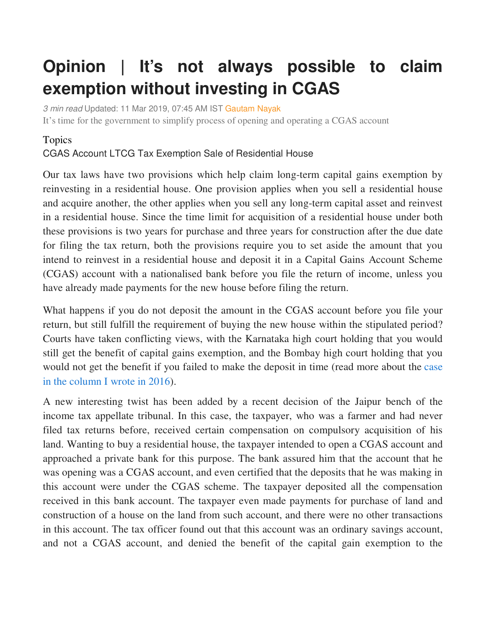## **Opinion | It's not always possible to claim exemption without investing in CGAS**

3 min read Updated: 11 Mar 2019, 07:45 AM IST Gautam Nayak It's time for the government to simplify process of opening and operating a CGAS account

## Topics

CGAS Account LTCG Tax Exemption Sale of Residential House

Our tax laws have two provisions which help claim long-term capital gains exemption by reinvesting in a residential house. One provision applies when you sell a residential house and acquire another, the other applies when you sell any long-term capital asset and reinvest in a residential house. Since the time limit for acquisition of a residential house under both these provisions is two years for purchase and three years for construction after the due date for filing the tax return, both the provisions require you to set aside the amount that you intend to reinvest in a residential house and deposit it in a Capital Gains Account Scheme (CGAS) account with a nationalised bank before you file the return of income, unless you have already made payments for the new house before filing the return.

What happens if you do not deposit the amount in the CGAS account before you file your return, but still fulfill the requirement of buying the new house within the stipulated period? Courts have taken conflicting views, with the Karnataka high court holding that you would still get the benefit of capital gains exemption, and the Bombay high court holding that you would not get the benefit if you failed to make the deposit in time (read more about the case in the column I wrote in 2016).

A new interesting twist has been added by a recent decision of the Jaipur bench of the income tax appellate tribunal. In this case, the taxpayer, who was a farmer and had never filed tax returns before, received certain compensation on compulsory acquisition of his land. Wanting to buy a residential house, the taxpayer intended to open a CGAS account and approached a private bank for this purpose. The bank assured him that the account that he was opening was a CGAS account, and even certified that the deposits that he was making in this account were under the CGAS scheme. The taxpayer deposited all the compensation received in this bank account. The taxpayer even made payments for purchase of land and construction of a house on the land from such account, and there were no other transactions in this account. The tax officer found out that this account was an ordinary savings account, and not a CGAS account, and denied the benefit of the capital gain exemption to the